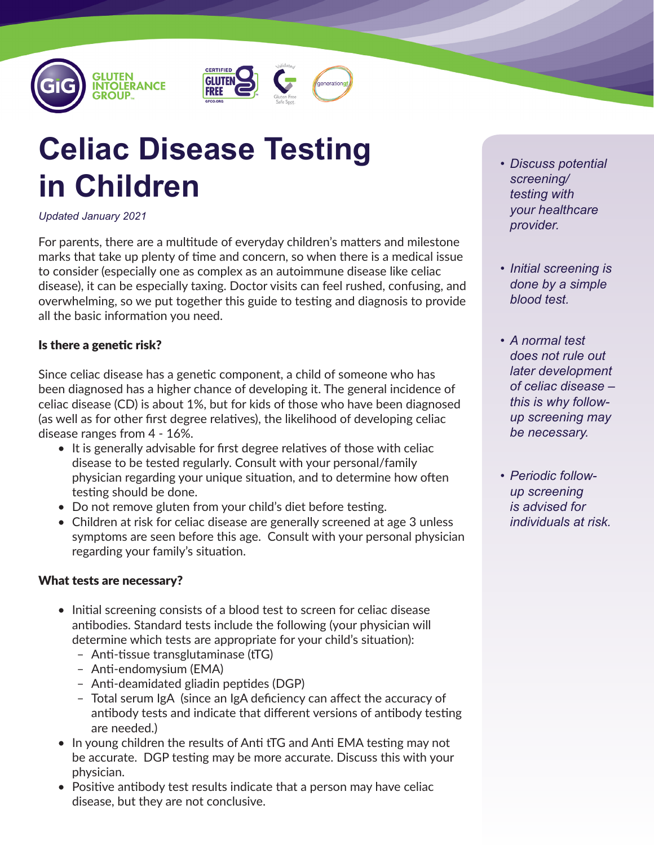





# **Celiac Disease Testing in Children**

#### *Updated January 2021*

For parents, there are a multitude of everyday children's matters and milestone marks that take up plenty of time and concern, so when there is a medical issue to consider (especially one as complex as an autoimmune disease like celiac disease), it can be especially taxing. Doctor visits can feel rushed, confusing, and overwhelming, so we put together this guide to testing and diagnosis to provide all the basic information you need.

### Is there a genetic risk?

Since celiac disease has a genetic component, a child of someone who has been diagnosed has a higher chance of developing it. The general incidence of celiac disease (CD) is about 1%, but for kids of those who have been diagnosed (as well as for other first degree relatives), the likelihood of developing celiac disease ranges from 4 - 16%.

- It is generally advisable for first degree relatives of those with celiac disease to be tested regularly. Consult with your personal/family physician regarding your unique situation, and to determine how often testing should be done.
- Do not remove gluten from your child's diet before testing.
- Children at risk for celiac disease are generally screened at age 3 unless symptoms are seen before this age. Consult with your personal physician regarding your family's situation.

#### What tests are necessary?

- Initial screening consists of a blood test to screen for celiac disease antibodies. Standard tests include the following (your physician will determine which tests are appropriate for your child's situation):
	- Anti-tissue transglutaminase (tTG)
	- Anti-endomysium (EMA)
	- Anti-deamidated gliadin peptides (DGP)
	- Total serum IgA (since an IgA deficiency can affect the accuracy of antibody tests and indicate that different versions of antibody testing are needed.)
- In young children the results of Anti tTG and Anti EMA testing may not be accurate. DGP testing may be more accurate. Discuss this with your physician.
- Positive antibody test results indicate that a person may have celiac disease, but they are not conclusive.
- *• Discuss potential screening/ testing with your healthcare provider.*
- *• Initial screening is done by a simple blood test.*
- *• A normal test does not rule out later development of celiac disease – this is why followup screening may be necessary.*
- *• Periodic followup screening is advised for individuals at risk.*